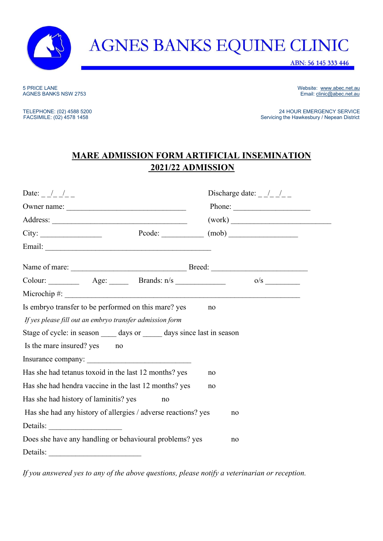

## **AGNES BANKS EQUINE CLINIC**

ABN: 56 145 333 446

5 PRICE LANE WEbsite: [www.abec.net.au](http://www.abec.net.au/) <br>
AGNES BANKS NSW 2753 CONFERENCE AU AGNES BANKS NSW 2753 Email[: clinic@abec.net.au](mailto:clinic@abec.net.au)

TELEPHONE: (02) 4588 5200<br>
FACSIMILE: (02) 4578 1458 200<br>
FACSIMILE: (02) 4578 1458 200 Servicing the Hawkesbury / Nepean District

## **MARE ADMISSION FORM ARTIFICIAL INSEMINATION 2021/22 ADMISSION**

| Date: $\frac{1}{2}$ $\frac{1}{2}$ $\frac{1}{2}$                                                   |    | Discharge date: $\frac{1}{2}$                                                                                                                                                                                                                                                                                                                                            |  |  |  |  |  |
|---------------------------------------------------------------------------------------------------|----|--------------------------------------------------------------------------------------------------------------------------------------------------------------------------------------------------------------------------------------------------------------------------------------------------------------------------------------------------------------------------|--|--|--|--|--|
|                                                                                                   |    | Phone: $\qquad \qquad$                                                                                                                                                                                                                                                                                                                                                   |  |  |  |  |  |
|                                                                                                   |    |                                                                                                                                                                                                                                                                                                                                                                          |  |  |  |  |  |
| City:                                                                                             |    | $\text{Pcode:}\n \begin{picture}(150,10) \put(0,0){\vector(1,0){100}} \put(15,0){\vector(1,0){100}} \put(15,0){\vector(1,0){100}} \put(15,0){\vector(1,0){100}} \put(15,0){\vector(1,0){100}} \put(15,0){\vector(1,0){100}} \put(15,0){\vector(1,0){100}} \put(15,0){\vector(1,0){100}} \put(15,0){\vector(1,0){100}} \put(15,0){\vector(1,0){100}} \put(15,0){\vector($ |  |  |  |  |  |
|                                                                                                   |    |                                                                                                                                                                                                                                                                                                                                                                          |  |  |  |  |  |
|                                                                                                   |    |                                                                                                                                                                                                                                                                                                                                                                          |  |  |  |  |  |
| Colour: $\qquad \qquad \text{Age:} \qquad \qquad \text{Brands: n/s} \qquad \qquad \text{Laplace}$ |    |                                                                                                                                                                                                                                                                                                                                                                          |  |  |  |  |  |
| Microchip $\#$ :                                                                                  |    |                                                                                                                                                                                                                                                                                                                                                                          |  |  |  |  |  |
| Is embryo transfer to be performed on this mare? yes<br>no                                        |    |                                                                                                                                                                                                                                                                                                                                                                          |  |  |  |  |  |
| If yes please fill out an embryo transfer admission form                                          |    |                                                                                                                                                                                                                                                                                                                                                                          |  |  |  |  |  |
| Stage of cycle: in season ______ days or _______ days since last in season                        |    |                                                                                                                                                                                                                                                                                                                                                                          |  |  |  |  |  |
| Is the mare insured? yes<br>no                                                                    |    |                                                                                                                                                                                                                                                                                                                                                                          |  |  |  |  |  |
|                                                                                                   |    |                                                                                                                                                                                                                                                                                                                                                                          |  |  |  |  |  |
| Has she had tetanus toxoid in the last 12 months? yes<br>no                                       |    |                                                                                                                                                                                                                                                                                                                                                                          |  |  |  |  |  |
| Has she had hendra vaccine in the last 12 months? yes                                             |    | no                                                                                                                                                                                                                                                                                                                                                                       |  |  |  |  |  |
| Has she had history of laminitis? yes                                                             | no |                                                                                                                                                                                                                                                                                                                                                                          |  |  |  |  |  |
| Has she had any history of allergies / adverse reactions? yes                                     |    | no                                                                                                                                                                                                                                                                                                                                                                       |  |  |  |  |  |
| Details:                                                                                          |    |                                                                                                                                                                                                                                                                                                                                                                          |  |  |  |  |  |
| Does she have any handling or behavioural problems? yes<br>no                                     |    |                                                                                                                                                                                                                                                                                                                                                                          |  |  |  |  |  |
| Details:                                                                                          |    |                                                                                                                                                                                                                                                                                                                                                                          |  |  |  |  |  |

*If you answered yes to any of the above questions, please notify a veterinarian or reception.*